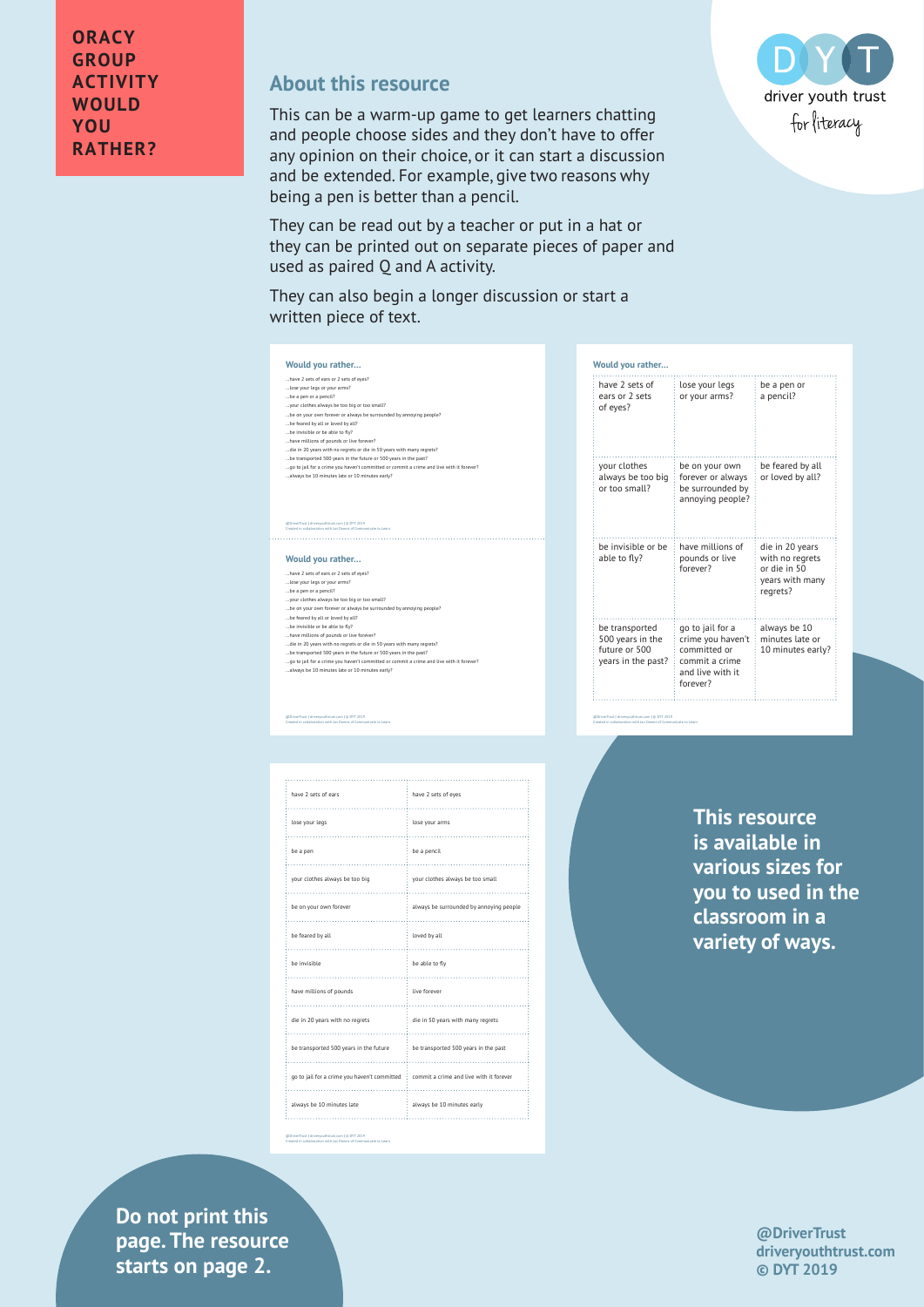## **About this resource**

This can be a warm-up game to get learners chatting and people choose sides and they don't have to offer any opinion on their choice, or it can start a discussion and be extended. For example, give two reasons why being a pen is better than a pencil.

They can be read out by a teacher or put in a hat or they can be printed out on separate pieces of paper and used as paired Q and A activity.

They can also begin a longer discussion or start a written piece of text.



| Would you rather                                                          |                                                                                                         |                                                                                   |
|---------------------------------------------------------------------------|---------------------------------------------------------------------------------------------------------|-----------------------------------------------------------------------------------|
| have 2 sets of<br>ears or 2 sets<br>of eyes?                              | lose your legs<br>or your arms?                                                                         | be a pen or<br>a pencil?                                                          |
| your clothes<br>always be too big<br>or too small?                        | be on your own<br>forever or always<br>be surrounded by<br>annoying people?                             | be feared by all<br>or loved by all?                                              |
| be invisible or be<br>able to fly?                                        | have millions of<br>pounds or live<br>forever?                                                          | die in 20 years<br>with no regrets<br>or die in 50<br>years with many<br>regrets? |
| be transported<br>500 years in the<br>future or 500<br>years in the past? | go to jail for a<br>crime you haven't<br>committed or<br>commit a crime<br>and live with it<br>forever? | always be 10<br>minutes late or<br>10 minutes early?                              |

@DriverTrust | driveryouthtrust.com | © DYT 2019 Created in collaboration with Jan Downs of Communicate to Learn

**Would you rather…** …have 2 sets of ears or 2 sets of eyes?

@DriverTrust | driveryouthtrust.com | © DYT 2019 Created in collaboration with Jan Downs of Communicate to Learn

**Would you rather…**

…lose your legs or your arms? …be a pen or a pencil? …your clothes always be too big or too small? …be on your own forever or always be surrounded by annoying people? …be feared by all or loved by all? …be invisible or be able to fl y? …have millions of pounds or live forever? die in 20 years with no regrets or die in 50 years with many regrets?<br>...be transported 500 years in the future or 500 years in the past?<br>...go to jail for a crime you haven't committer or commit a crime and live with it f

....have 2 sets of ears or 2 sets of eye?<br>...lose your legs or your arms?<br>...lose your legs or your arms?<br>...le a pen or a pencil?<br>...le e nyour own forever or always be surrounded by annoying people?<br>...le e mere by all o

@DriverTrust | driveryouthtrust.com | © DYT 2019 Created in collaboration with Jan Downs of Communicate to Learn

Created in collaboration with Jan Downs of Communicate to Learn

| have 2 sets of ears                              | have 2 sets of eyes                     |
|--------------------------------------------------|-----------------------------------------|
| lose your legs                                   | lose your arms                          |
| be a pen                                         | be a pencil                             |
| your clothes always be too big                   | your clothes always be too small        |
| be on your own forever                           | always be surrounded by annoying people |
| be feared by all<br>.                            | loved by all                            |
| be invisible<br>.                                | be able to fly                          |
| have millions of pounds                          | live forever<br>.                       |
| die in 20 years with no regrets                  | die in 50 years with many regrets       |
| be transported 500 years in the future           | be transported 500 years in the past    |
| go to jail for a crime you haven't committed     | commit a crime and live with it forever |
| always be 10 minutes late                        | always be 10 minutes early              |
| @DriverTrust   driveryouthtrust.com   @ DYT 2019 |                                         |

**This resource is available in various sizes for you to used in the classroom in a variety of ways.**

**Privers 2** drivers page. The resource **Exercise in collaboration with Aasters on page 2. Do not print this** 

**@DriverTrust driveryouthtrust.com © DYT 2019**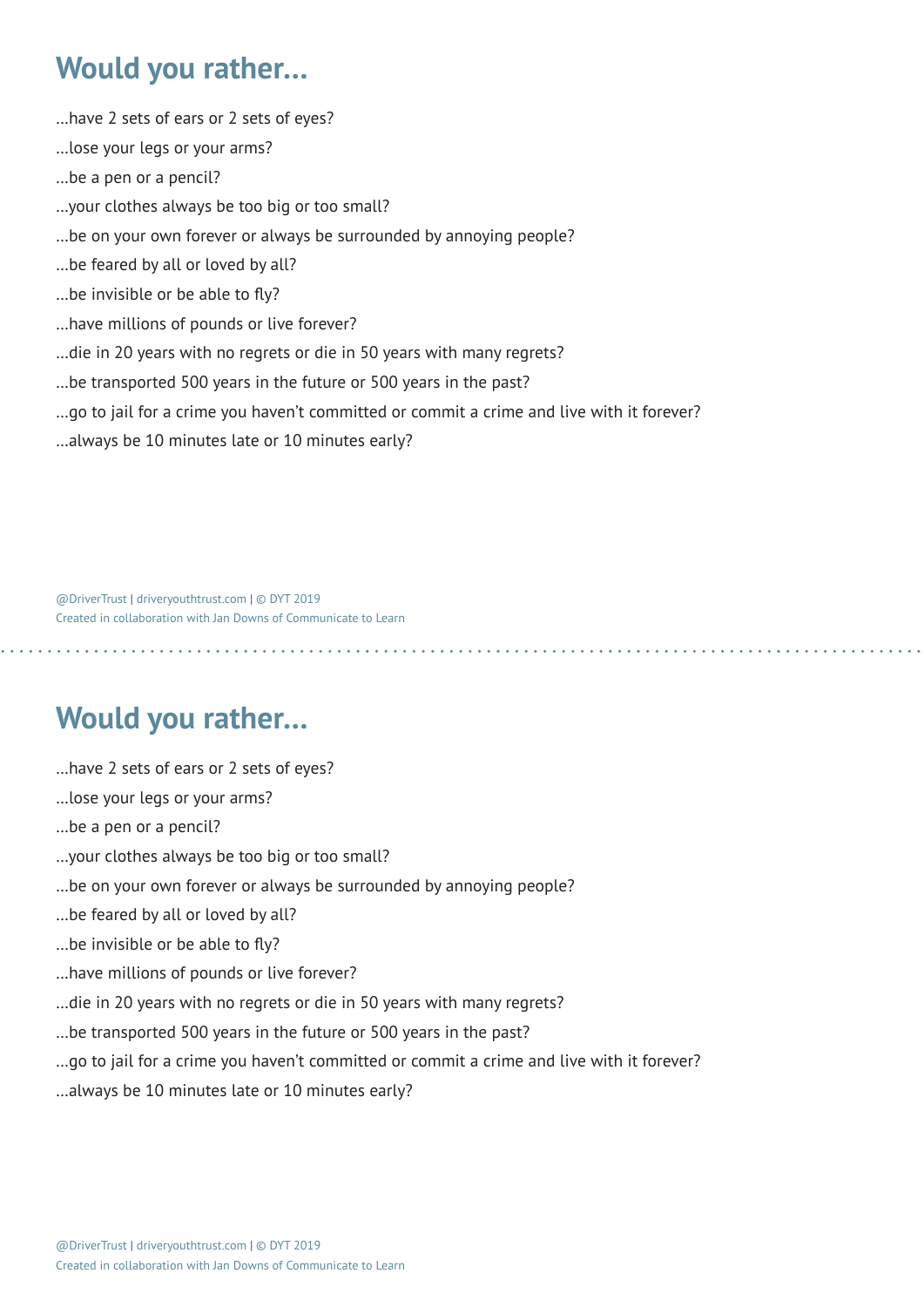## **Would you rather…**

- …have 2 sets of ears or 2 sets of eyes?
- …lose your legs or your arms?
- …be a pen or a pencil?
- …your clothes always be too big or too small?
- …be on your own forever or always be surrounded by annoying people?
- …be feared by all or loved by all?
- …be invisible or be able to fly?
- …have millions of pounds or live forever?
- …die in 20 years with no regrets or die in 50 years with many regrets?
- …be transported 500 years in the future or 500 years in the past?
- …go to jail for a crime you haven't committed or commit a crime and live with it forever?

…always be 10 minutes late or 10 minutes early?

@DriverTrust | driveryouthtrust.com | © DYT 2019 Created in collaboration with Jan Downs of Communicate to Learn

## **Would you rather…**

- …have 2 sets of ears or 2 sets of eyes?
- …lose your legs or your arms?
- …be a pen or a pencil?
- …your clothes always be too big or too small?
- …be on your own forever or always be surrounded by annoying people?
- …be feared by all or loved by all?
- …be invisible or be able to fly?
- …have millions of pounds or live forever?
- …die in 20 years with no regrets or die in 50 years with many regrets?
- …be transported 500 years in the future or 500 years in the past?
- …go to jail for a crime you haven't committed or commit a crime and live with it forever?
- …always be 10 minutes late or 10 minutes early?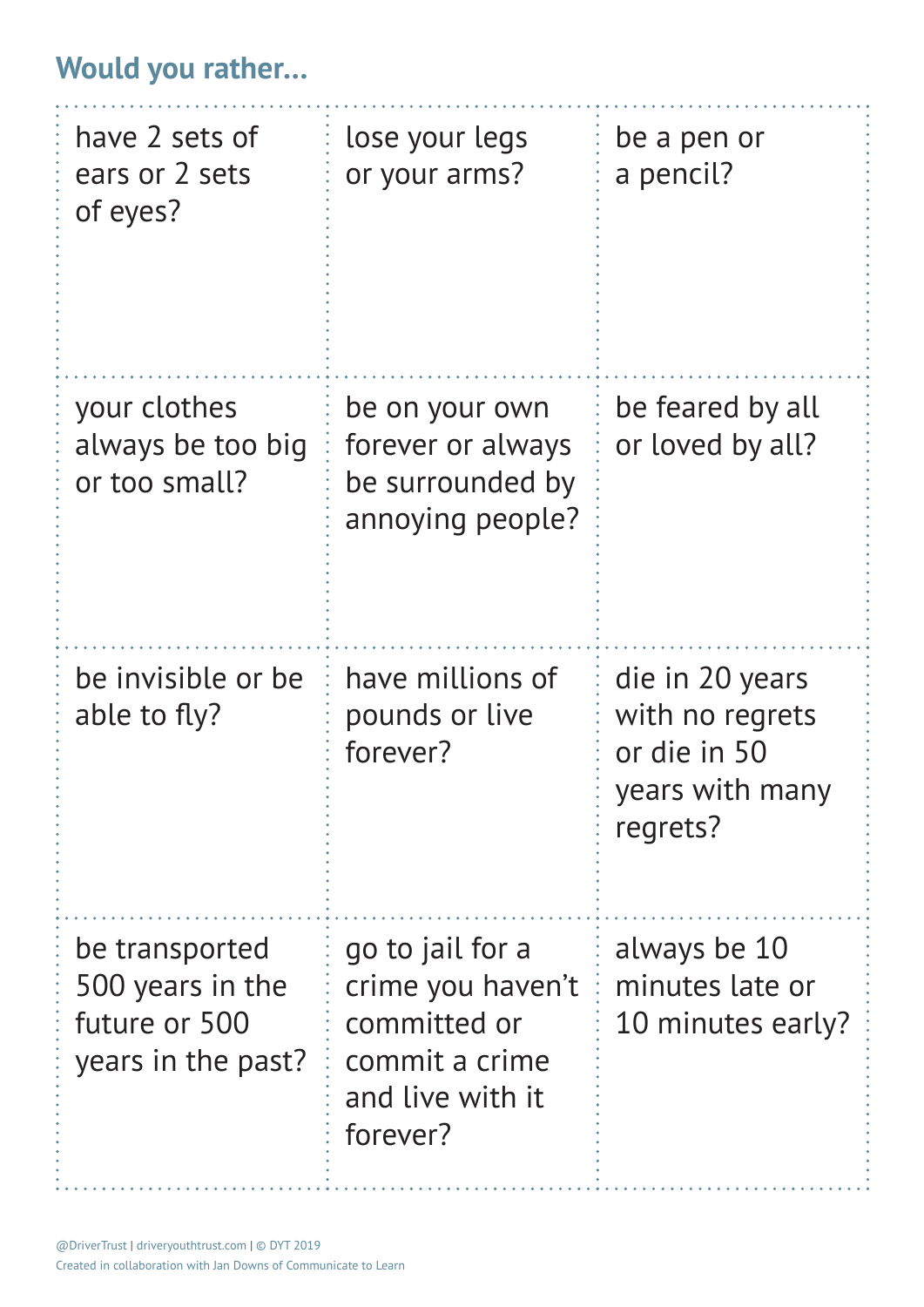## **Would you rather…**

| have 2 sets of<br>ears or 2 sets<br>of eyes?                              | lose your legs<br>or your arms?                                                                         | be a pen or<br>a pencil?                                                          |
|---------------------------------------------------------------------------|---------------------------------------------------------------------------------------------------------|-----------------------------------------------------------------------------------|
| your clothes<br>always be too big<br>or too small?                        | be on your own<br>forever or always<br>be surrounded by<br>annoying people?                             | be feared by all<br>or loved by all?                                              |
| be invisible or be<br>able to fly?                                        | have millions of<br>pounds or live<br>forever?                                                          | die in 20 years<br>with no regrets<br>or die in 50<br>years with many<br>regrets? |
| be transported<br>500 years in the<br>future or 500<br>years in the past? | go to jail for a<br>crime you haven't<br>committed or<br>commit a crime<br>and live with it<br>forever? | always be 10<br>minutes late or<br>10 minutes early?                              |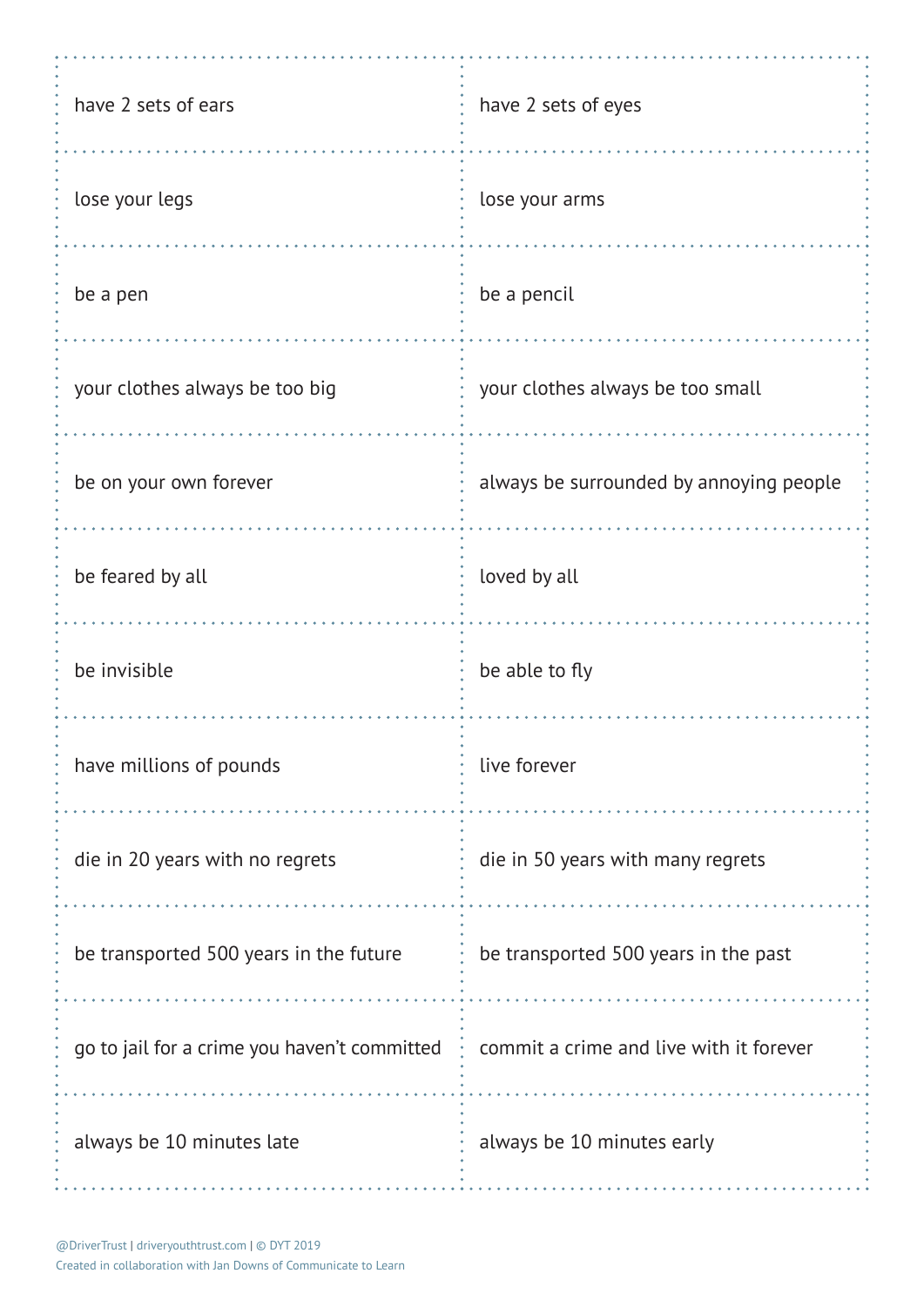| have 2 sets of ears                          | have 2 sets of eyes                     |
|----------------------------------------------|-----------------------------------------|
| lose your legs                               | lose your arms                          |
| be a pen                                     | be a pencil                             |
| your clothes always be too big               | your clothes always be too small        |
| be on your own forever                       | always be surrounded by annoying people |
| be feared by all                             | loved by all                            |
| be invisible                                 | be able to fly                          |
| have millions of pounds                      | live forever                            |
| die in 20 years with no regrets              | die in 50 years with many regrets       |
| be transported 500 years in the future       | be transported 500 years in the past    |
| go to jail for a crime you haven't committed | commit a crime and live with it forever |
| always be 10 minutes late                    | always be 10 minutes early              |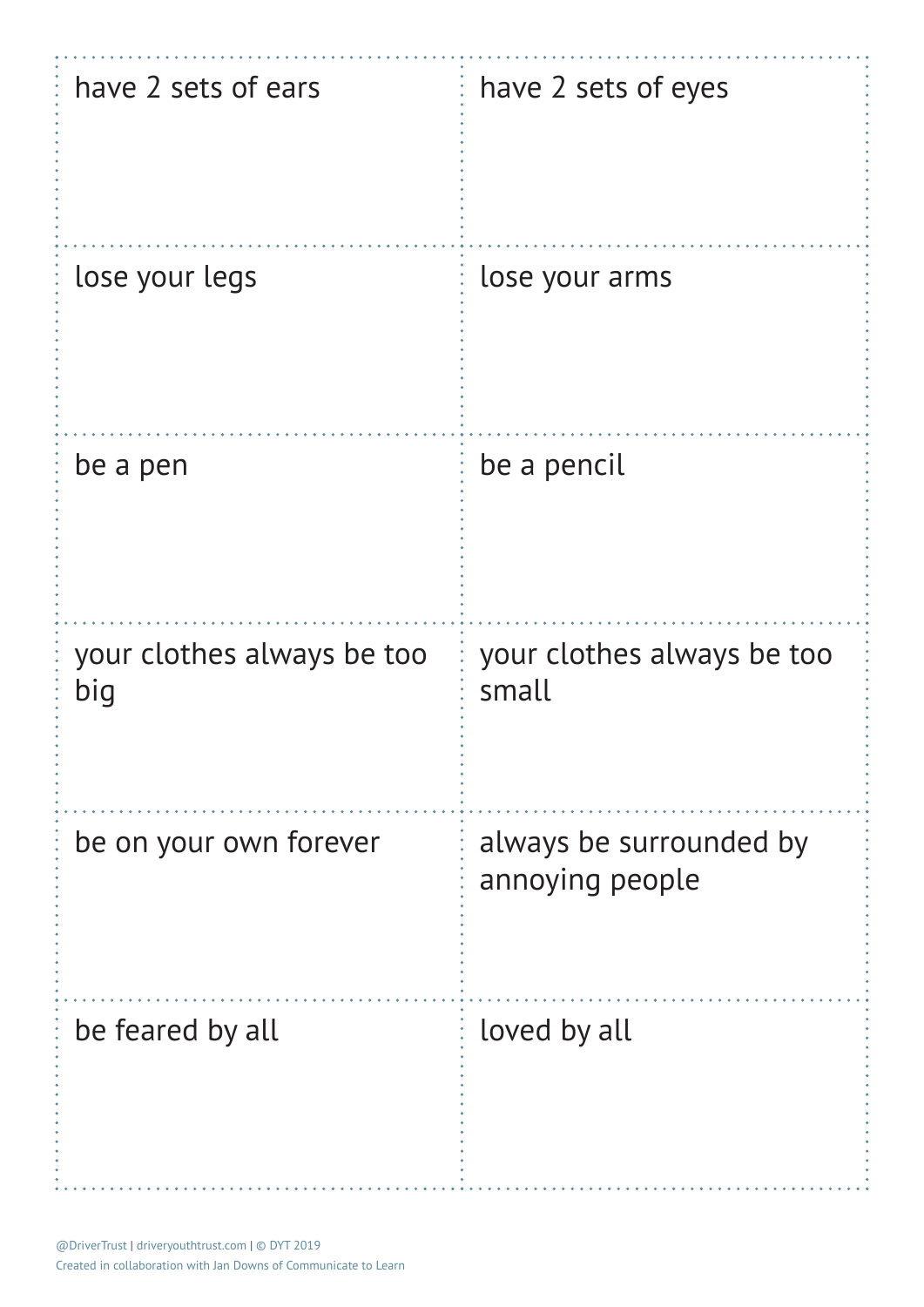| have 2 sets of ears               | have 2 sets of eyes                        |
|-----------------------------------|--------------------------------------------|
| lose your legs                    | lose your arms                             |
| be a pen                          | be a pencil                                |
| your clothes always be too<br>big | your clothes always be too<br>small        |
| be on your own forever            | always be surrounded by<br>annoying people |
| be feared by all                  | loved by all                               |